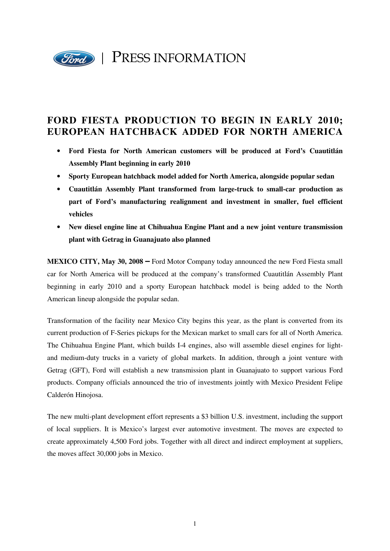

## **FORD FIESTA PRODUCTION TO BEGIN IN EARLY 2010; EUROPEAN HATCHBACK ADDED FOR NORTH AMERICA**

- **Ford Fiesta for North American customers will be produced at Ford's Cuautitlán Assembly Plant beginning in early 2010**
- **Sporty European hatchback model added for North America, alongside popular sedan**
- **Cuautitlán Assembly Plant transformed from large-truck to small-car production as part of Ford's manufacturing realignment and investment in smaller, fuel efficient vehicles**
- **New diesel engine line at Chihuahua Engine Plant and a new joint venture transmission plant with Getrag in Guanajuato also planned**

**MEXICO CITY, May 30, 2008** – Ford Motor Company today announced the new Ford Fiesta small car for North America will be produced at the company's transformed Cuautitlán Assembly Plant beginning in early 2010 and a sporty European hatchback model is being added to the North American lineup alongside the popular sedan.

Transformation of the facility near Mexico City begins this year, as the plant is converted from its current production of F-Series pickups for the Mexican market to small cars for all of North America. The Chihuahua Engine Plant, which builds I-4 engines, also will assemble diesel engines for lightand medium-duty trucks in a variety of global markets. In addition, through a joint venture with Getrag (GFT), Ford will establish a new transmission plant in Guanajuato to support various Ford products. Company officials announced the trio of investments jointly with Mexico President Felipe Calderón Hinojosa.

The new multi-plant development effort represents a \$3 billion U.S. investment, including the support of local suppliers. It is Mexico's largest ever automotive investment. The moves are expected to create approximately 4,500 Ford jobs. Together with all direct and indirect employment at suppliers, the moves affect 30,000 jobs in Mexico.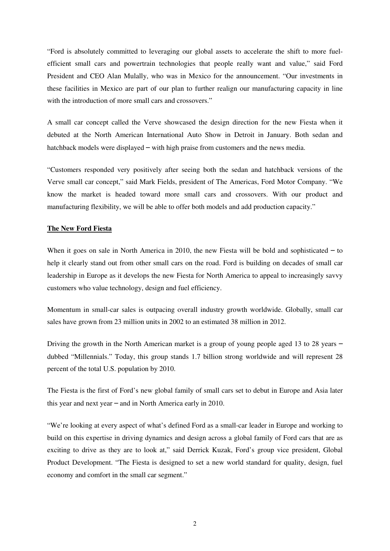"Ford is absolutely committed to leveraging our global assets to accelerate the shift to more fuelefficient small cars and powertrain technologies that people really want and value," said Ford President and CEO Alan Mulally, who was in Mexico for the announcement. "Our investments in these facilities in Mexico are part of our plan to further realign our manufacturing capacity in line with the introduction of more small cars and crossovers."

A small car concept called the Verve showcased the design direction for the new Fiesta when it debuted at the North American International Auto Show in Detroit in January. Both sedan and hatchback models were displayed – with high praise from customers and the news media.

"Customers responded very positively after seeing both the sedan and hatchback versions of the Verve small car concept," said Mark Fields, president of The Americas, Ford Motor Company. "We know the market is headed toward more small cars and crossovers. With our product and manufacturing flexibility, we will be able to offer both models and add production capacity."

## **The New Ford Fiesta**

When it goes on sale in North America in 2010, the new Fiesta will be bold and sophisticated  $-$  to help it clearly stand out from other small cars on the road. Ford is building on decades of small car leadership in Europe as it develops the new Fiesta for North America to appeal to increasingly savvy customers who value technology, design and fuel efficiency.

Momentum in small-car sales is outpacing overall industry growth worldwide. Globally, small car sales have grown from 23 million units in 2002 to an estimated 38 million in 2012.

Driving the growth in the North American market is a group of young people aged 13 to 28 years – dubbed "Millennials." Today, this group stands 1.7 billion strong worldwide and will represent 28 percent of the total U.S. population by 2010.

The Fiesta is the first of Ford's new global family of small cars set to debut in Europe and Asia later this year and next year – and in North America early in 2010.

"We're looking at every aspect of what's defined Ford as a small-car leader in Europe and working to build on this expertise in driving dynamics and design across a global family of Ford cars that are as exciting to drive as they are to look at," said Derrick Kuzak, Ford's group vice president, Global Product Development. "The Fiesta is designed to set a new world standard for quality, design, fuel economy and comfort in the small car segment."